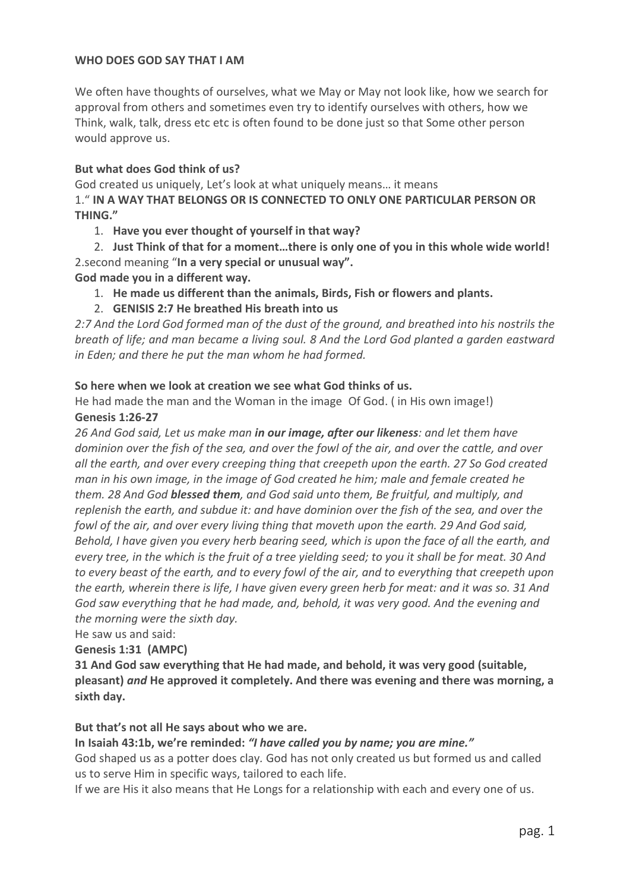### **WHO DOES GOD SAY THAT I AM**

We often have thoughts of ourselves, what we May or May not look like, how we search for approval from others and sometimes even try to identify ourselves with others, how we Think, walk, talk, dress etc etc is often found to be done just so that Some other person would approve us.

# **But what does God think of us?**

God created us uniquely, Let's look at what uniquely means… it means 1." **IN A WAY THAT BELONGS OR IS CONNECTED TO ONLY ONE PARTICULAR PERSON OR THING."**

1. **Have you ever thought of yourself in that way?**

2. **Just Think of that for a moment…there is only one of you in this whole wide world!** 2.second meaning "**In a very special or unusual way".**

**God made you in a different way.**

- 1. **He made us different than the animals, Birds, Fish or flowers and plants.**
- 2. **GENISIS 2:7 He breathed His breath into us**

*2:7 And the Lord God formed man of the dust of the ground, and breathed into his nostrils the breath of life; and man became a living soul. 8 And the Lord God planted a garden eastward in Eden; and there he put the man whom he had formed.*

### **So here when we look at creation we see what God thinks of us.**

He had made the man and the Woman in the image Of God. ( in His own image!) **Genesis 1:26-27**

*26 And God said, Let us make man in our image, after our likeness: and let them have dominion over the fish of the sea, and over the fowl of the air, and over the cattle, and over all the earth, and over every creeping thing that creepeth upon the earth. 27 So God created man in his own image, in the image of God created he him; male and female created he them. 28 And God blessed them, and God said unto them, Be fruitful, and multiply, and replenish the earth, and subdue it: and have dominion over the fish of the sea, and over the fowl of the air, and over every living thing that moveth upon the earth. 29 And God said, Behold, I have given you every herb bearing seed, which is upon the face of all the earth, and every tree, in the which is the fruit of a tree yielding seed; to you it shall be for meat. 30 And to every beast of the earth, and to every fowl of the air, and to everything that creepeth upon the earth, wherein there is life, I have given every green herb for meat: and it was so. 31 And God saw everything that he had made, and, behold, it was very good. And the evening and the morning were the sixth day.*

He saw us and said:

# **Genesis 1:31 (AMPC)**

**31 And God saw everything that He had made, and behold, it was very good (suitable, pleasant)** *and* **He approved it completely. And there was evening and there was morning, a sixth day.**

# **But that's not all He says about who we are.**

### **In Isaiah 43:1b, we're reminded:** *"I have called you by name; you are mine."*

God shaped us as a potter does clay*.* God has not only created us but formed us and called us to serve Him in specific ways, tailored to each life.

If we are His it also means that He Longs for a relationship with each and every one of us.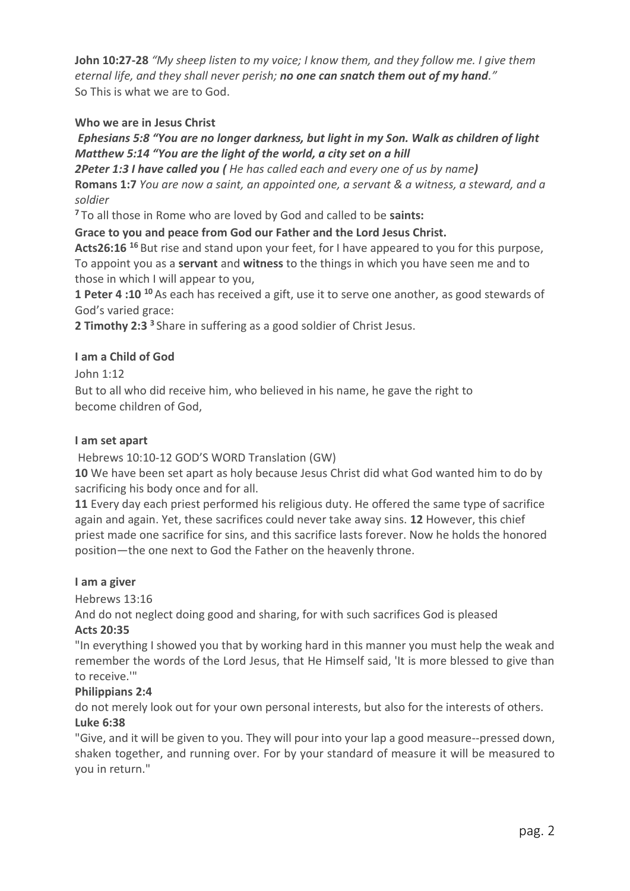**John 10:27-28** *"My sheep listen to my voice; I know them, and they follow me. I give them eternal life, and they shall never perish; no one can snatch them out of my hand."* So This is what we are to God.

# **Who we are in Jesus Christ**

*Ephesians 5:8 "You are no longer darkness, but light in my Son. Walk as children of light Matthew 5:14 "You are the light of the world, a city set on a hill*

*2Peter 1:3 I have called you ( He has called each and every one of us by name)* **Romans 1:7** *You are now a saint, an appointed one, a servant & a witness, a steward, and a soldier*

**<sup>7</sup>** To all those in Rome who are loved by God and called to be **saints:**

# **Grace to you and peace from God our Father and the Lord Jesus Christ.**

**Acts26:16 <sup>16</sup>** But rise and stand upon your feet, for I have appeared to you for this purpose, To appoint you as a **servant** and **witness** to the things in which you have seen me and to those in which I will appear to you,

**1 Peter 4 :10 <sup>10</sup>** As each has received a gift, use it to serve one another, as good stewards of God's varied grace:

**2 Timothy 2:3 <sup>3</sup>** Share in suffering as a good soldier of Christ Jesus.

### **I am a Child of God**

John 1:12

But to all who did receive him, who believed in his name, he gave the right to become children of God,

### **I am set apart**

Hebrews 10:10-12 GOD'S WORD Translation (GW)

**10** We have been set apart as holy because Jesus Christ did what God wanted him to do by sacrificing his body once and for all.

**11** Every day each priest performed his religious duty. He offered the same type of sacrifice again and again. Yet, these sacrifices could never take away sins. **12** However, this chief priest made one sacrifice for sins, and this sacrifice lasts forever. Now he holds the honored position—the one next to God the Father on the heavenly throne.

### **I am a giver**

Hebrews 13:16

And do not neglect doing good and sharing, for with such sacrifices God is pleased **Acts 20:35**

"In everything I showed you that by working hard in this manner you must help the weak and remember the words of the Lord Jesus, that He Himself said, 'It is more blessed to give than to receive.'"

### **Philippians 2:4**

do not merely look out for your own personal interests, but also for the interests of others. **Luke 6:38**

"Give, and it will be given to you. They will pour into your lap a good measure--pressed down, shaken together, and running over. For by your standard of measure it will be measured to you in return."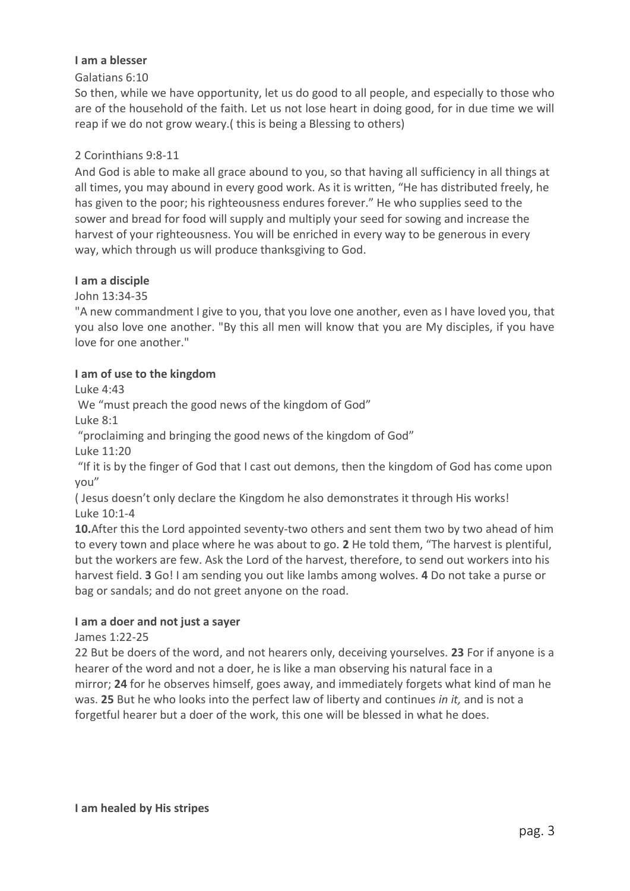### **I am a blesser**

### Galatians 6:10

So then, while we have opportunity, let us do good to all people, and especially to those who are of the household of the faith. Let us not lose heart in doing good, for in due time we will reap if we do not grow weary.( this is being a Blessing to others)

### 2 Corinthians 9:8-11

And God is able to make all grace abound to you, so that having all sufficiency in all things at all times, you may abound in every good work. As it is written, "He has distributed freely, he has given to the poor; his righteousness endures forever." He who supplies seed to the sower and bread for food will supply and multiply your seed for sowing and increase the harvest of your righteousness. You will be enriched in every way to be generous in every way, which through us will produce thanksgiving to God.

### **I am a disciple**

John 13:34-35

"A new commandment I give to you, that you love one another, even as I have loved you, that you also love one another. "By this all men will know that you are My disciples, if you have love for one another."

### **I am of use to the kingdom**

Luke 4:43

We "must preach the good news of the kingdom of God"

Luke 8:1

"proclaiming and bringing the good news of the kingdom of God"

Luke 11:20

"If it is by the finger of God that I cast out demons, then the kingdom of God has come upon you"

( Jesus doesn't only declare the Kingdom he also demonstrates it through His works! Luke 10:1-4

**10.**After this the Lord appointed seventy-two others and sent them two by two ahead of him to every town and place where he was about to go. **2** He told them, "The harvest is plentiful, but the workers are few. Ask the Lord of the harvest, therefore, to send out workers into his harvest field. **3** Go! I am sending you out like lambs among wolves. **4** Do not take a purse or bag or sandals; and do not greet anyone on the road.

### **I am a doer and not just a sayer**

James 1:22-25

22 But be doers of the word, and not hearers only, deceiving yourselves. **23** For if anyone is a hearer of the word and not a doer, he is like a man observing his natural face in a mirror; **24** for he observes himself, goes away, and immediately forgets what kind of man he was. **25** But he who looks into the perfect law of liberty and continues *in it,* and is not a forgetful hearer but a doer of the work, this one will be blessed in what he does.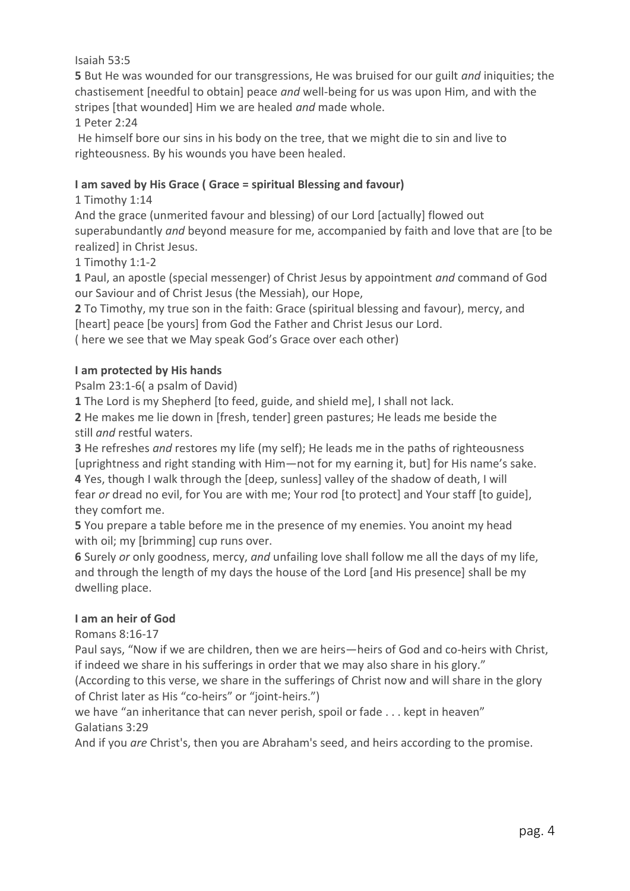# Isaiah 53:5

**5** But He was wounded for our transgressions, He was bruised for our guilt *and* iniquities; the chastisement [needful to obtain] peace *and* well-being for us was upon Him, and with the stripes [that wounded] Him we are healed *and* made whole.

1 Peter 2:24

He himself bore our sins in his body on the tree, that we might die to sin and live to righteousness. By his wounds you have been healed.

# **I am saved by His Grace ( Grace = spiritual Blessing and favour)**

# 1 Timothy 1:14

And the grace (unmerited favour and blessing) of our Lord [actually] flowed out superabundantly *and* beyond measure for me, accompanied by faith and love that are [to be realized] in Christ Jesus.

1 Timothy 1:1-2

**1** Paul, an apostle (special messenger) of Christ Jesus by appointment *and* command of God our Saviour and of Christ Jesus (the Messiah), our Hope,

**2** To Timothy, my true son in the faith: Grace (spiritual blessing and favour), mercy, and [heart] peace [be yours] from God the Father and Christ Jesus our Lord.

( here we see that we May speak God's Grace over each other)

# **I am protected by His hands**

Psalm 23:1-6( a psalm of David)

**1** The Lord is my Shepherd [to feed, guide, and shield me], I shall not lack.

**2** He makes me lie down in [fresh, tender] green pastures; He leads me beside the still *and* restful waters.

**3** He refreshes *and* restores my life (my self); He leads me in the paths of righteousness [uprightness and right standing with Him—not for my earning it, but] for His name's sake. **4** Yes, though I walk through the [deep, sunless] valley of the shadow of death, I will fear *or* dread no evil, for You are with me; Your rod [to protect] and Your staff [to guide], they comfort me.

**5** You prepare a table before me in the presence of my enemies. You anoint my head with oil; my [brimming] cup runs over.

**6** Surely *or* only goodness, mercy, *and* unfailing love shall follow me all the days of my life, and through the length of my days the house of the Lord [and His presence] shall be my dwelling place.

# **I am an heir of God**

Romans 8:16-17

Paul says, "Now if we are children, then we are heirs—heirs of God and co-heirs with Christ, if indeed we share in his sufferings in order that we may also share in his glory."

(According to this verse, we share in the sufferings of Christ now and will share in the glory of Christ later as His "co-heirs" or "joint-heirs.")

we have "an inheritance that can never perish, spoil or fade . . . kept in heaven" Galatians 3:29

And if you *are* Christ's, then you are Abraham's seed, and heirs according to the promise.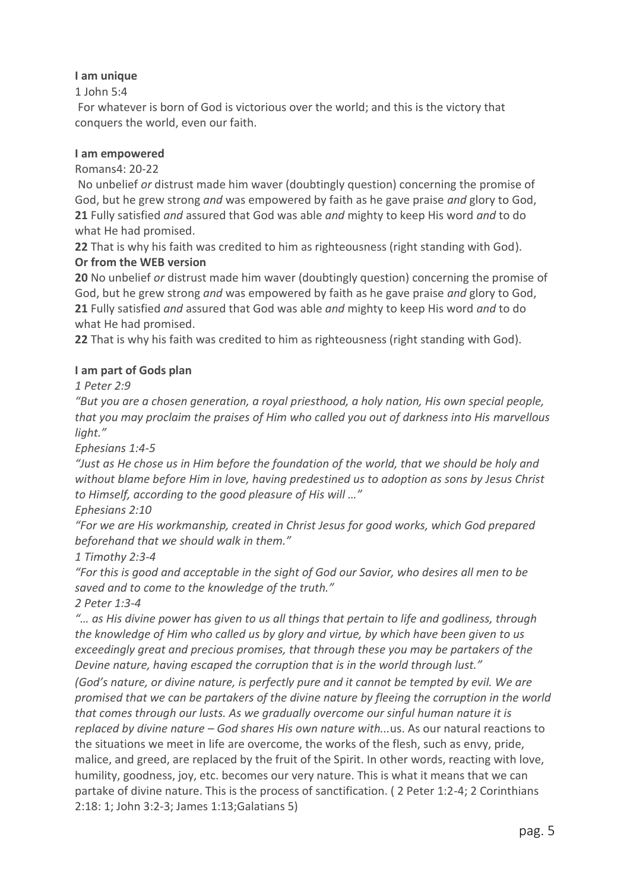# **I am unique**

# 1 John 5:4

For whatever is born of God is victorious over the world; and this is the victory that conquers the world, even our faith.

# **I am empowered**

# Romans4: 20-22

No unbelief *or* distrust made him waver (doubtingly question) concerning the promise of God, but he grew strong *and* was empowered by faith as he gave praise *and* glory to God, **21** Fully satisfied *and* assured that God was able *and* mighty to keep His word *and* to do what He had promised.

**22** That is why his faith was credited to him as righteousness (right standing with God).

# **Or from the WEB version**

**20** No unbelief *or* distrust made him waver (doubtingly question) concerning the promise of God, but he grew strong *and* was empowered by faith as he gave praise *and* glory to God, **21** Fully satisfied *and* assured that God was able *and* mighty to keep His word *and* to do what He had promised.

**22** That is why his faith was credited to him as righteousness (right standing with God).

# **I am part of Gods plan**

*1 Peter 2:9*

*"But you are a chosen generation, a royal priesthood, a holy nation, His own special people, that you may proclaim the praises of Him who called you out of darkness into His marvellous light."*

*Ephesians 1:4-5*

*"Just as He chose us in Him before the foundation of the world, that we should be holy and without blame before Him in love, having predestined us to adoption as sons by Jesus Christ to Himself, according to the good pleasure of His will …"*

*Ephesians 2:10*

*"For we are His workmanship, created in Christ Jesus for good works, which God prepared beforehand that we should walk in them."*

*1 Timothy 2:3-4*

*"For this is good and acceptable in the sight of God our Savior, who desires all men to be saved and to come to the knowledge of the truth."*

*2 Peter 1:3-4*

*"… as His divine power has given to us all things that pertain to life and godliness, through the knowledge of Him who called us by glory and virtue, by which have been given to us exceedingly great and precious promises, that through these you may be partakers of the Devine nature, having escaped the corruption that is in the world through lust."*

*(God's nature, or divine nature, is perfectly pure and it cannot be tempted by evil. We are promised that we can be partakers of the divine nature by fleeing the corruption in the world that comes through our lusts. As we gradually overcome our sinful human nature it is replaced by divine nature – God shares His own nature with...*us. As our natural reactions to the situations we meet in life are overcome, the works of the flesh, such as envy, pride, malice, and greed, are replaced by the fruit of the Spirit. In other words, reacting with love, humility, goodness, joy, etc. becomes our very nature. This is what it means that we can partake of divine nature. This is the process of sanctification. ( 2 Peter 1:2-4; 2 Corinthians 2:18: 1; John 3:2-3; James 1:13;Galatians 5)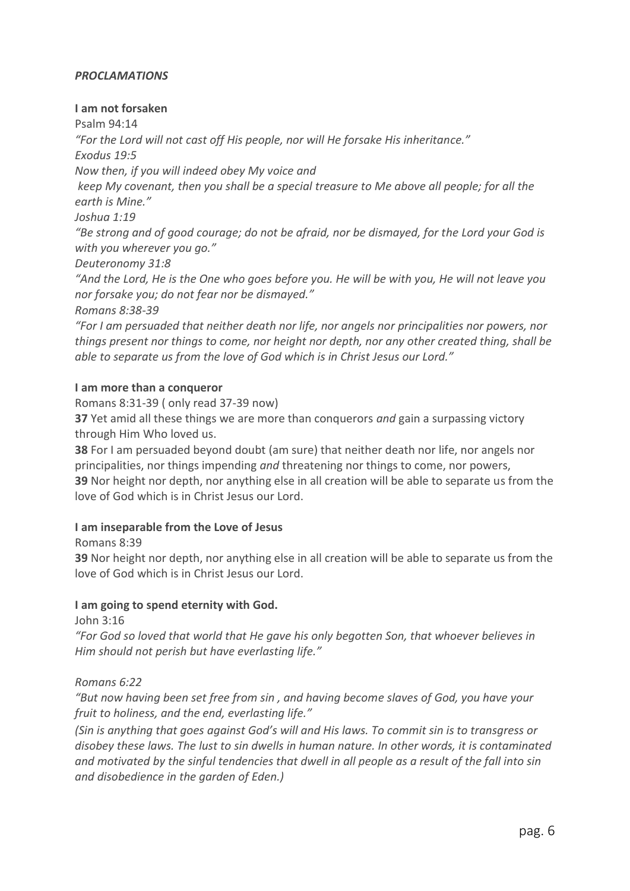# *PROCLAMATIONS*

#### **I am not forsaken**

Psalm 94:14

*"For the Lord will not cast off His people, nor will He forsake His inheritance."*

*Exodus 19:5*

*Now then, if you will indeed obey My voice and*

*keep My covenant, then you shall be a special treasure to Me above all people; for all the earth is Mine."*

*Joshua 1:19*

*"Be strong and of good courage; do not be afraid, nor be dismayed, for the Lord your God is with you wherever you go."*

*Deuteronomy 31:8*

*"And the Lord, He is the One who goes before you. He will be with you, He will not leave you nor forsake you; do not fear nor be dismayed."*

*Romans 8:38-39*

*"For I am persuaded that neither death nor life, nor angels nor principalities nor powers, nor things present nor things to come, nor height nor depth, nor any other created thing, shall be able to separate us from the love of God which is in Christ Jesus our Lord."*

### **I am more than a conqueror**

Romans 8:31-39 ( only read 37-39 now)

**37** Yet amid all these things we are more than conquerors *and* gain a surpassing victory through Him Who loved us.

**38** For I am persuaded beyond doubt (am sure) that neither death nor life, nor angels nor principalities, nor things impending *and* threatening nor things to come, nor powers, **39** Nor height nor depth, nor anything else in all creation will be able to separate us from the love of God which is in Christ Jesus our Lord.

### **I am inseparable from the Love of Jesus**

Romans 8:39

**39** Nor height nor depth, nor anything else in all creation will be able to separate us from the love of God which is in Christ Jesus our Lord.

### **I am going to spend eternity with God.**

John 3:16

*"For God so loved that world that He gave his only begotten Son, that whoever believes in Him should not perish but have everlasting life."*

*Romans 6:22*

*"But now having been set free from sin , and having become slaves of God, you have your fruit to holiness, and the end, everlasting life."*

*(Sin is anything that goes against God's will and His laws. To commit sin is to transgress or disobey these laws. The lust to sin dwells in human nature. In other words, it is contaminated and motivated by the sinful tendencies that dwell in all people as a result of the fall into sin and disobedience in the garden of Eden.)*